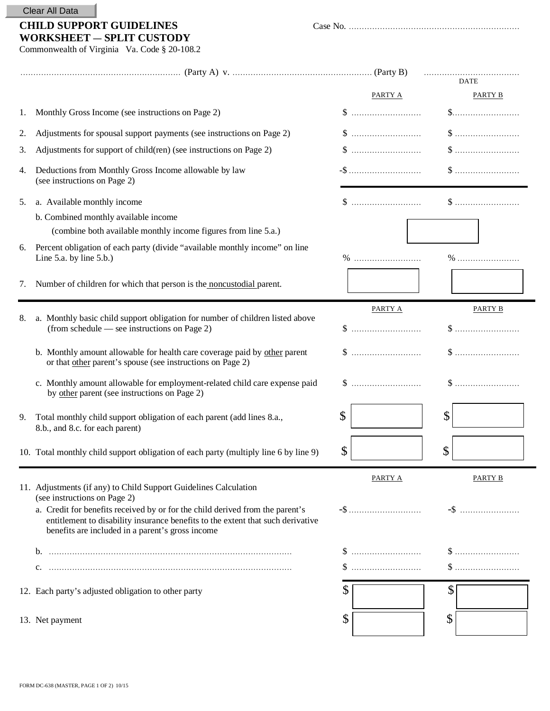| Clear All Data |  |  |
|----------------|--|--|
|----------------|--|--|

## **CHILD SUPPORT GUIDELINES** Case No. .................................................................. **WORKSHEET** ― **SPLIT CUSTODY**

|--|--|

Commonwealth of Virginia Va. Code § 20-108.2

|    |                                                                                                                                                                                                                      |         | <b>DATE</b>                                                      |
|----|----------------------------------------------------------------------------------------------------------------------------------------------------------------------------------------------------------------------|---------|------------------------------------------------------------------|
|    |                                                                                                                                                                                                                      | PARTY A | PARTY B                                                          |
| 1. | Monthly Gross Income (see instructions on Page 2)                                                                                                                                                                    |         | $\$\ldots$                                                       |
| 2. | Adjustments for spousal support payments (see instructions on Page 2)                                                                                                                                                |         |                                                                  |
| 3. | Adjustments for support of child(ren) (see instructions on Page 2)                                                                                                                                                   |         |                                                                  |
| 4. | Deductions from Monthly Gross Income allowable by law<br>(see instructions on Page 2)                                                                                                                                |         |                                                                  |
| 5. | a. Available monthly income                                                                                                                                                                                          |         |                                                                  |
|    | b. Combined monthly available income                                                                                                                                                                                 |         |                                                                  |
|    | (combine both available monthly income figures from line 5.a.)                                                                                                                                                       |         |                                                                  |
| 6. | Percent obligation of each party (divide "available monthly income" on line<br>Line 5.a. by line $5.b.)$                                                                                                             |         |                                                                  |
| 7. | Number of children for which that person is the noncustodial parent.                                                                                                                                                 |         |                                                                  |
|    |                                                                                                                                                                                                                      | PARTY A | PARTY B                                                          |
| 8. | a. Monthly basic child support obligation for number of children listed above<br>(from schedule — see instructions on Page 2)                                                                                        |         |                                                                  |
|    | b. Monthly amount allowable for health care coverage paid by other parent<br>or that other parent's spouse (see instructions on Page 2)                                                                              |         |                                                                  |
|    | c. Monthly amount allowable for employment-related child care expense paid<br>by other parent (see instructions on Page 2)                                                                                           |         |                                                                  |
| 9. | Total monthly child support obligation of each parent (add lines 8.a.,<br>8.b., and 8.c. for each parent)                                                                                                            | \$      | \$                                                               |
|    | 10. Total monthly child support obligation of each party (multiply line 6 by line 9)                                                                                                                                 | \$      | $\mathcal{S}$                                                    |
|    | 11. Adjustments (if any) to Child Support Guidelines Calculation<br>(see instructions on Page 2)                                                                                                                     | PARTY A | <b>PARTY B</b>                                                   |
|    | a. Credit for benefits received by or for the child derived from the parent's<br>entitlement to disability insurance benefits to the extent that such derivative<br>benefits are included in a parent's gross income |         | $-$ \$                                                           |
|    |                                                                                                                                                                                                                      |         |                                                                  |
|    |                                                                                                                                                                                                                      |         | $\$\ldots\ldots\ldots\ldots\ldots\ldots\ldots\ldots\ldots\ldots$ |
|    | 12. Each party's adjusted obligation to other party                                                                                                                                                                  | \$      | \$                                                               |
|    | 13. Net payment                                                                                                                                                                                                      | \$      | \$                                                               |